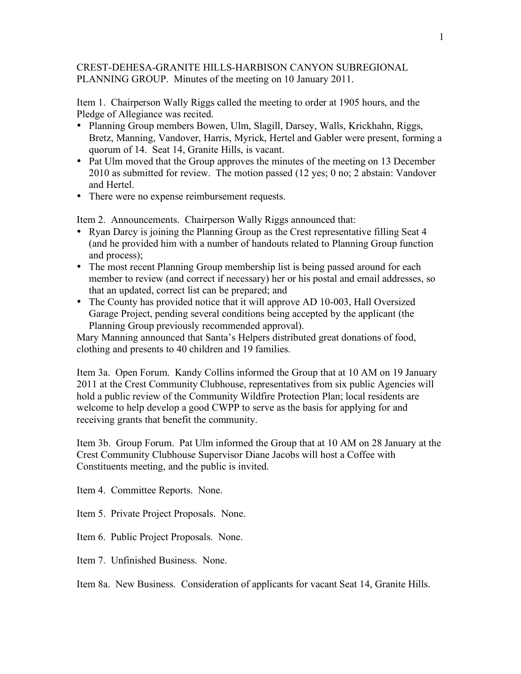## CREST-DEHESA-GRANITE HILLS-HARBISON CANYON SUBREGIONAL PLANNING GROUP. Minutes of the meeting on 10 January 2011.

Item 1. Chairperson Wally Riggs called the meeting to order at 1905 hours, and the Pledge of Allegiance was recited.

- Planning Group members Bowen, Ulm, Slagill, Darsey, Walls, Krickhahn, Riggs, Bretz, Manning, Vandover, Harris, Myrick, Hertel and Gabler were present, forming a quorum of 14. Seat 14, Granite Hills, is vacant.
- Pat Ulm moved that the Group approves the minutes of the meeting on 13 December 2010 as submitted for review. The motion passed (12 yes; 0 no; 2 abstain: Vandover and Hertel.
- There were no expense reimbursement requests.

Item 2. Announcements. Chairperson Wally Riggs announced that:

- Ryan Darcy is joining the Planning Group as the Crest representative filling Seat 4 (and he provided him with a number of handouts related to Planning Group function and process);
- The most recent Planning Group membership list is being passed around for each member to review (and correct if necessary) her or his postal and email addresses, so that an updated, correct list can be prepared; and
- The County has provided notice that it will approve AD 10-003, Hall Oversized Garage Project, pending several conditions being accepted by the applicant (the Planning Group previously recommended approval).

Mary Manning announced that Santa's Helpers distributed great donations of food, clothing and presents to 40 children and 19 families.

Item 3a. Open Forum. Kandy Collins informed the Group that at 10 AM on 19 January 2011 at the Crest Community Clubhouse, representatives from six public Agencies will hold a public review of the Community Wildfire Protection Plan; local residents are welcome to help develop a good CWPP to serve as the basis for applying for and receiving grants that benefit the community.

Item 3b. Group Forum. Pat Ulm informed the Group that at 10 AM on 28 January at the Crest Community Clubhouse Supervisor Diane Jacobs will host a Coffee with Constituents meeting, and the public is invited.

Item 4. Committee Reports. None.

Item 5. Private Project Proposals. None.

Item 6. Public Project Proposals. None.

Item 7. Unfinished Business. None.

Item 8a. New Business. Consideration of applicants for vacant Seat 14, Granite Hills.